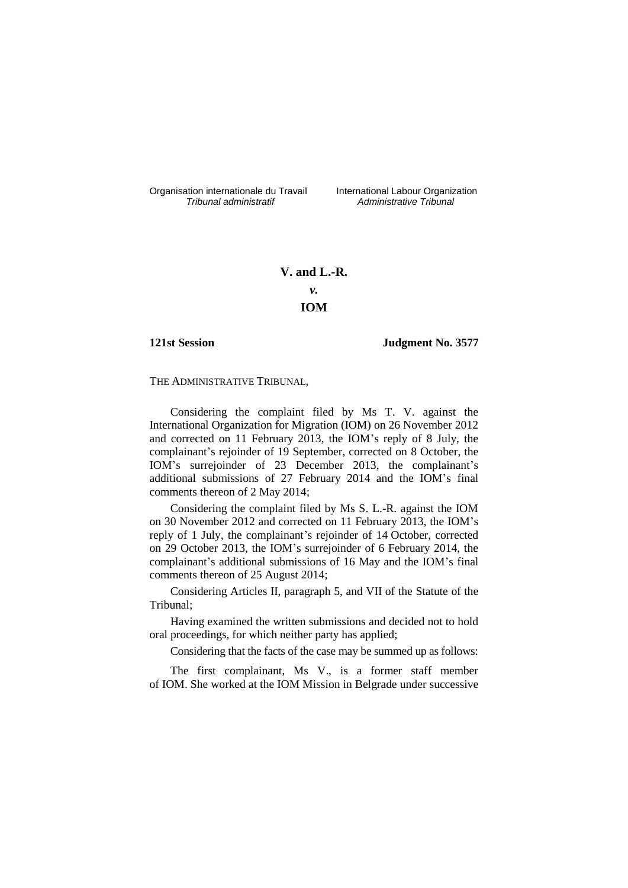Organisation internationale du Travail International Labour Organization<br>*Tribunal administratif Administrative Tribunal* 

*Tribunal administratif Administrative Tribunal*

# **V. and L.-R.** *v.* **IOM**

## **121st Session Judgment No. 3577**

THE ADMINISTRATIVE TRIBUNAL,

Considering the complaint filed by Ms T. V. against the International Organization for Migration (IOM) on 26 November 2012 and corrected on 11 February 2013, the IOM's reply of 8 July, the complainant's rejoinder of 19 September, corrected on 8 October, the IOM's surrejoinder of 23 December 2013, the complainant's additional submissions of 27 February 2014 and the IOM's final comments thereon of 2 May 2014;

Considering the complaint filed by Ms S. L.-R. against the IOM on 30 November 2012 and corrected on 11 February 2013, the IOM's reply of 1 July, the complainant's rejoinder of 14 October, corrected on 29 October 2013, the IOM's surrejoinder of 6 February 2014, the complainant's additional submissions of 16 May and the IOM's final comments thereon of 25 August 2014;

Considering Articles II, paragraph 5, and VII of the Statute of the Tribunal;

Having examined the written submissions and decided not to hold oral proceedings, for which neither party has applied;

Considering that the facts of the case may be summed up as follows:

The first complainant, Ms V., is a former staff member of IOM. She worked at the IOM Mission in Belgrade under successive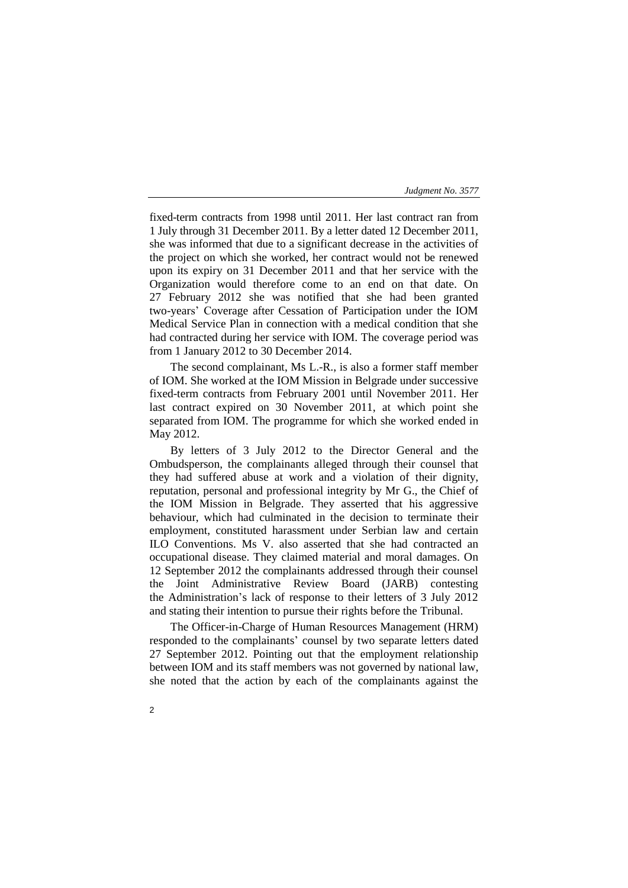fixed-term contracts from 1998 until 2011. Her last contract ran from 1 July through 31 December 2011. By a letter dated 12 December 2011, she was informed that due to a significant decrease in the activities of the project on which she worked, her contract would not be renewed upon its expiry on 31 December 2011 and that her service with the Organization would therefore come to an end on that date. On 27 February 2012 she was notified that she had been granted two-years' Coverage after Cessation of Participation under the IOM Medical Service Plan in connection with a medical condition that she had contracted during her service with IOM. The coverage period was from 1 January 2012 to 30 December 2014.

The second complainant, Ms L.-R., is also a former staff member of IOM. She worked at the IOM Mission in Belgrade under successive fixed-term contracts from February 2001 until November 2011. Her last contract expired on 30 November 2011, at which point she separated from IOM. The programme for which she worked ended in May 2012.

By letters of 3 July 2012 to the Director General and the Ombudsperson, the complainants alleged through their counsel that they had suffered abuse at work and a violation of their dignity, reputation, personal and professional integrity by Mr G., the Chief of the IOM Mission in Belgrade. They asserted that his aggressive behaviour, which had culminated in the decision to terminate their employment, constituted harassment under Serbian law and certain ILO Conventions. Ms V. also asserted that she had contracted an occupational disease. They claimed material and moral damages. On 12 September 2012 the complainants addressed through their counsel the Joint Administrative Review Board (JARB) contesting the Administration's lack of response to their letters of 3 July 2012 and stating their intention to pursue their rights before the Tribunal.

The Officer-in-Charge of Human Resources Management (HRM) responded to the complainants' counsel by two separate letters dated 27 September 2012. Pointing out that the employment relationship between IOM and its staff members was not governed by national law, she noted that the action by each of the complainants against the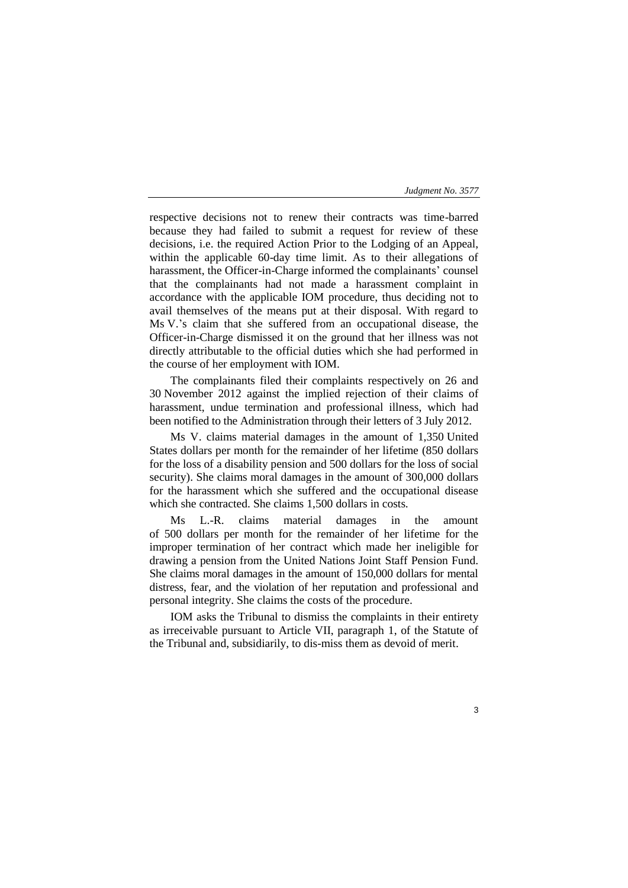respective decisions not to renew their contracts was time-barred because they had failed to submit a request for review of these decisions, i.e. the required Action Prior to the Lodging of an Appeal, within the applicable 60-day time limit. As to their allegations of harassment, the Officer-in-Charge informed the complainants' counsel that the complainants had not made a harassment complaint in accordance with the applicable IOM procedure, thus deciding not to avail themselves of the means put at their disposal. With regard to Ms V.'s claim that she suffered from an occupational disease, the Officer-in-Charge dismissed it on the ground that her illness was not directly attributable to the official duties which she had performed in the course of her employment with IOM.

The complainants filed their complaints respectively on 26 and 30 November 2012 against the implied rejection of their claims of harassment, undue termination and professional illness, which had been notified to the Administration through their letters of 3 July 2012.

Ms V. claims material damages in the amount of 1,350 United States dollars per month for the remainder of her lifetime (850 dollars for the loss of a disability pension and 500 dollars for the loss of social security). She claims moral damages in the amount of 300,000 dollars for the harassment which she suffered and the occupational disease which she contracted. She claims 1,500 dollars in costs.

Ms L.-R. claims material damages in the amount of 500 dollars per month for the remainder of her lifetime for the improper termination of her contract which made her ineligible for drawing a pension from the United Nations Joint Staff Pension Fund. She claims moral damages in the amount of 150,000 dollars for mental distress, fear, and the violation of her reputation and professional and personal integrity. She claims the costs of the procedure.

IOM asks the Tribunal to dismiss the complaints in their entirety as irreceivable pursuant to Article VII, paragraph 1, of the Statute of the Tribunal and, subsidiarily, to dis-miss them as devoid of merit.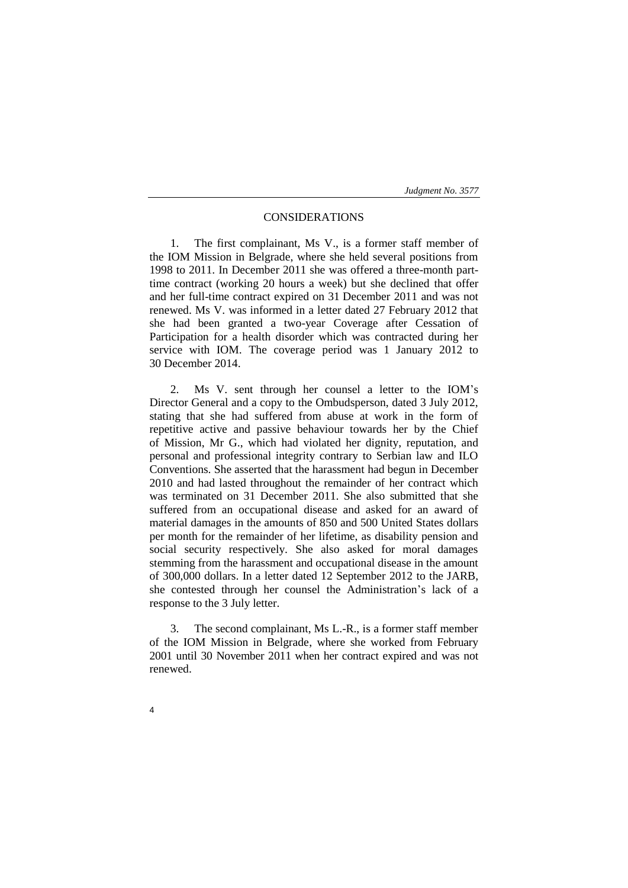## CONSIDERATIONS

1. The first complainant, Ms V., is a former staff member of the IOM Mission in Belgrade, where she held several positions from 1998 to 2011. In December 2011 she was offered a three-month parttime contract (working 20 hours a week) but she declined that offer and her full-time contract expired on 31 December 2011 and was not renewed. Ms V. was informed in a letter dated 27 February 2012 that she had been granted a two-year Coverage after Cessation of Participation for a health disorder which was contracted during her service with IOM. The coverage period was 1 January 2012 to 30 December 2014.

2. Ms V. sent through her counsel a letter to the IOM's Director General and a copy to the Ombudsperson, dated 3 July 2012, stating that she had suffered from abuse at work in the form of repetitive active and passive behaviour towards her by the Chief of Mission, Mr G., which had violated her dignity, reputation, and personal and professional integrity contrary to Serbian law and ILO Conventions. She asserted that the harassment had begun in December 2010 and had lasted throughout the remainder of her contract which was terminated on 31 December 2011. She also submitted that she suffered from an occupational disease and asked for an award of material damages in the amounts of 850 and 500 United States dollars per month for the remainder of her lifetime, as disability pension and social security respectively. She also asked for moral damages stemming from the harassment and occupational disease in the amount of 300,000 dollars. In a letter dated 12 September 2012 to the JARB, she contested through her counsel the Administration's lack of a response to the 3 July letter.

3. The second complainant, Ms L.-R., is a former staff member of the IOM Mission in Belgrade, where she worked from February 2001 until 30 November 2011 when her contract expired and was not renewed.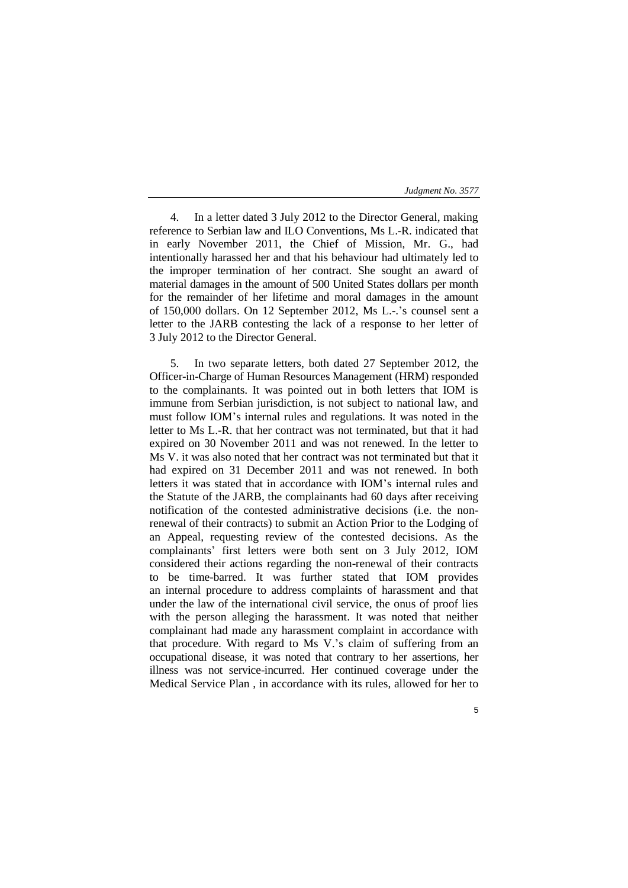5

4. In a letter dated 3 July 2012 to the Director General, making reference to Serbian law and ILO Conventions, Ms L.-R. indicated that in early November 2011, the Chief of Mission, Mr. G., had intentionally harassed her and that his behaviour had ultimately led to the improper termination of her contract. She sought an award of material damages in the amount of 500 United States dollars per month for the remainder of her lifetime and moral damages in the amount of 150,000 dollars. On 12 September 2012, Ms L.-.'s counsel sent a letter to the JARB contesting the lack of a response to her letter of 3 July 2012 to the Director General.

5. In two separate letters, both dated 27 September 2012, the Officer-in-Charge of Human Resources Management (HRM) responded to the complainants. It was pointed out in both letters that IOM is immune from Serbian jurisdiction, is not subject to national law, and must follow IOM's internal rules and regulations. It was noted in the letter to Ms L.-R. that her contract was not terminated, but that it had expired on 30 November 2011 and was not renewed. In the letter to Ms V. it was also noted that her contract was not terminated but that it had expired on 31 December 2011 and was not renewed. In both letters it was stated that in accordance with IOM's internal rules and the Statute of the JARB, the complainants had 60 days after receiving notification of the contested administrative decisions (i.e. the nonrenewal of their contracts) to submit an Action Prior to the Lodging of an Appeal, requesting review of the contested decisions. As the complainants' first letters were both sent on 3 July 2012, IOM considered their actions regarding the non-renewal of their contracts to be time-barred. It was further stated that IOM provides an internal procedure to address complaints of harassment and that under the law of the international civil service, the onus of proof lies with the person alleging the harassment. It was noted that neither complainant had made any harassment complaint in accordance with that procedure. With regard to Ms V.'s claim of suffering from an occupational disease, it was noted that contrary to her assertions, her illness was not service-incurred. Her continued coverage under the Medical Service Plan , in accordance with its rules, allowed for her to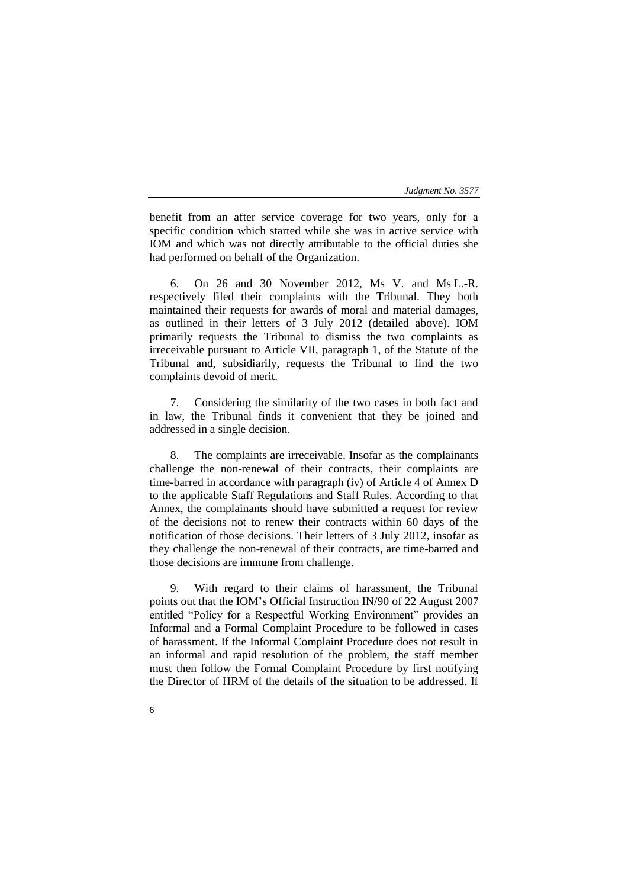benefit from an after service coverage for two years, only for a specific condition which started while she was in active service with IOM and which was not directly attributable to the official duties she had performed on behalf of the Organization.

6. On 26 and 30 November 2012, Ms V. and Ms L.-R. respectively filed their complaints with the Tribunal. They both maintained their requests for awards of moral and material damages, as outlined in their letters of 3 July 2012 (detailed above). IOM primarily requests the Tribunal to dismiss the two complaints as irreceivable pursuant to Article VII, paragraph 1, of the Statute of the Tribunal and, subsidiarily, requests the Tribunal to find the two complaints devoid of merit.

7. Considering the similarity of the two cases in both fact and in law, the Tribunal finds it convenient that they be joined and addressed in a single decision.

8. The complaints are irreceivable. Insofar as the complainants challenge the non-renewal of their contracts, their complaints are time-barred in accordance with paragraph (iv) of Article 4 of Annex D to the applicable Staff Regulations and Staff Rules. According to that Annex, the complainants should have submitted a request for review of the decisions not to renew their contracts within 60 days of the notification of those decisions. Their letters of 3 July 2012, insofar as they challenge the non-renewal of their contracts, are time-barred and those decisions are immune from challenge.

9. With regard to their claims of harassment, the Tribunal points out that the IOM's Official Instruction IN/90 of 22 August 2007 entitled "Policy for a Respectful Working Environment" provides an Informal and a Formal Complaint Procedure to be followed in cases of harassment. If the Informal Complaint Procedure does not result in an informal and rapid resolution of the problem, the staff member must then follow the Formal Complaint Procedure by first notifying the Director of HRM of the details of the situation to be addressed. If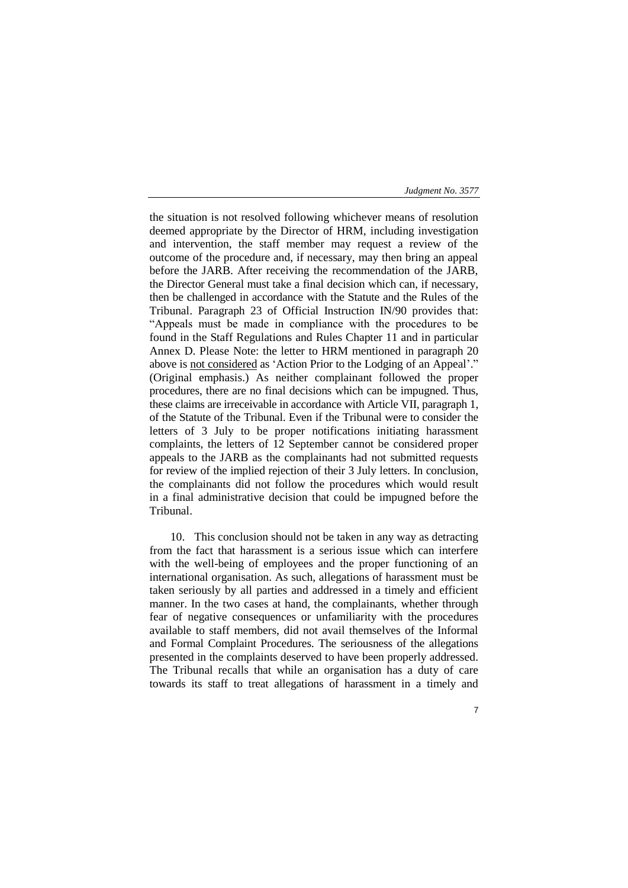the situation is not resolved following whichever means of resolution deemed appropriate by the Director of HRM, including investigation and intervention, the staff member may request a review of the outcome of the procedure and, if necessary, may then bring an appeal before the JARB. After receiving the recommendation of the JARB, the Director General must take a final decision which can, if necessary, then be challenged in accordance with the Statute and the Rules of the Tribunal. Paragraph 23 of Official Instruction IN/90 provides that: "Appeals must be made in compliance with the procedures to be found in the Staff Regulations and Rules Chapter 11 and in particular Annex D. Please Note: the letter to HRM mentioned in paragraph 20 above is not considered as 'Action Prior to the Lodging of an Appeal'." (Original emphasis.) As neither complainant followed the proper procedures, there are no final decisions which can be impugned. Thus, these claims are irreceivable in accordance with Article VII, paragraph 1, of the Statute of the Tribunal. Even if the Tribunal were to consider the letters of 3 July to be proper notifications initiating harassment complaints, the letters of 12 September cannot be considered proper appeals to the JARB as the complainants had not submitted requests for review of the implied rejection of their 3 July letters. In conclusion, the complainants did not follow the procedures which would result in a final administrative decision that could be impugned before the Tribunal.

10. This conclusion should not be taken in any way as detracting from the fact that harassment is a serious issue which can interfere with the well-being of employees and the proper functioning of an international organisation. As such, allegations of harassment must be taken seriously by all parties and addressed in a timely and efficient manner. In the two cases at hand, the complainants, whether through fear of negative consequences or unfamiliarity with the procedures available to staff members, did not avail themselves of the Informal and Formal Complaint Procedures. The seriousness of the allegations presented in the complaints deserved to have been properly addressed. The Tribunal recalls that while an organisation has a duty of care towards its staff to treat allegations of harassment in a timely and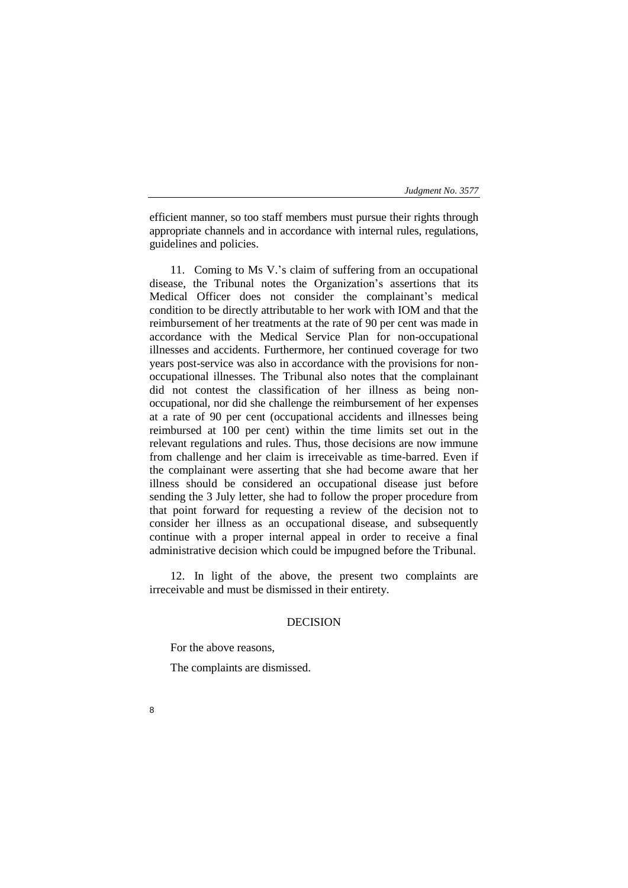efficient manner, so too staff members must pursue their rights through appropriate channels and in accordance with internal rules, regulations, guidelines and policies.

11. Coming to Ms V.'s claim of suffering from an occupational disease, the Tribunal notes the Organization's assertions that its Medical Officer does not consider the complainant's medical condition to be directly attributable to her work with IOM and that the reimbursement of her treatments at the rate of 90 per cent was made in accordance with the Medical Service Plan for non-occupational illnesses and accidents. Furthermore, her continued coverage for two years post-service was also in accordance with the provisions for nonoccupational illnesses. The Tribunal also notes that the complainant did not contest the classification of her illness as being nonoccupational, nor did she challenge the reimbursement of her expenses at a rate of 90 per cent (occupational accidents and illnesses being reimbursed at 100 per cent) within the time limits set out in the relevant regulations and rules. Thus, those decisions are now immune from challenge and her claim is irreceivable as time-barred. Even if the complainant were asserting that she had become aware that her illness should be considered an occupational disease just before sending the 3 July letter, she had to follow the proper procedure from that point forward for requesting a review of the decision not to consider her illness as an occupational disease, and subsequently continue with a proper internal appeal in order to receive a final administrative decision which could be impugned before the Tribunal.

12. In light of the above, the present two complaints are irreceivable and must be dismissed in their entirety.

## DECISION

For the above reasons,

The complaints are dismissed.